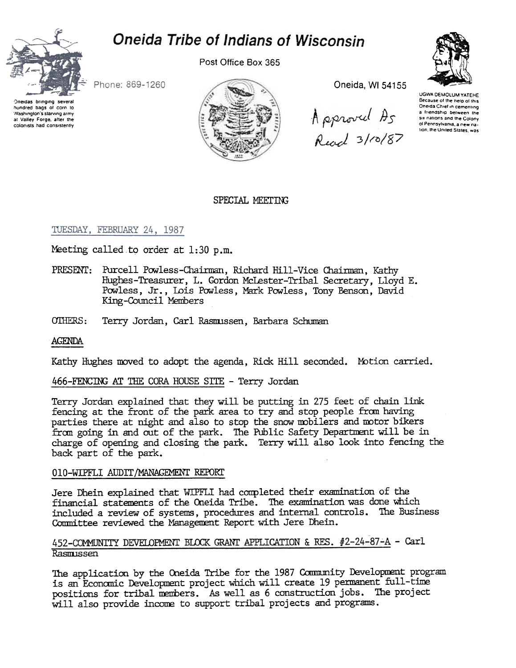# Oneida Tribe of Indians of Wisconsin



Post Office Box 365



Phone: 869-1260

Oneidas bringing several hundred bags of corn to Washington's starving army at Vailey Forge, after the colonists had consistently



Oneida, WI 54155

Approved As<br>Read 3/00/87

UGWA DEMOLUM YATEHE Because of the help of this Oneida Chief in cementing a friendship between the six nations and the Colony ol Pennsylvania, a new nation, the United States, was

# SPECIAL MEETING

# TUESDAY, FEBRUARY 24, 1987

Meeting called to order at 1:30 p.m.

- PRESENT: Purcell Powless-Chairman, Richard Hill-Vice Chairman, Kathy Hughes-Treasurer, L. Gordon McLester-Tribal Secretary, Lloyd E. Powless, Jr., Lois Powless, Mark Powless, Tony Benson, David King-Council Members
- OTHERS: Terry Jordan, Carl Rasmussen, Barbara Schuman

# AGENDA

Kathy Hughes moved to adopt the agenda, Rick Hill seconded. Motion carried.

# 466-FENCING AT THE CORA HOUSE SITE - Terry Jordan

Terry Jordan explained that they will be putting in 275 feet of chain link fencing at the front of the park area to try and stop people from having parties there at night and also to stop the snow mobilers and motor bikers from going in and out of the park. The Public Safety Department will be in charge of opening and closing the park. Terry will also look into fencing the back part of the park.

# 010-WIPFLI AUDIT/MANAGEMENT REPORT

Jere Dhein explained that WIPFLI had completed their examination of the financial statements of the Oneida Tribe. The examination was done which included a review of systems, procedures and internal controls. The Business Committee reviewed the Management Report with Jere Dhein.

# 452-COMMUNITY DEVELOPMENT BLOCK GRANT APPLICATION & RES. #2-24-87-A - Carl Rasmussen

The application by the Oneida Tribe for the 1987 Community Development program is an Economic Development project which will create 19 permanent full-time positions for tribal members. As well as 6 construction jobs. The project will also provide income to support tribal projects and programs.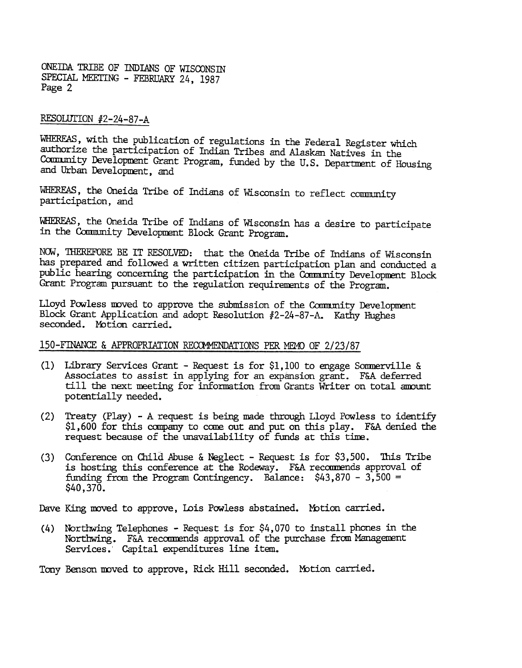ONEillA TRIBE OF INDIANS OF WISCONSIN SPECIAL MEETING - FEBRUARY 24, 1987 Page 2

# RESOLUTION #2-24-87-A

WHEREAS, with the publication of regulations in the Federal Register which authorize the participation of Indian Tribes and Alaskan Natives in the Community Development Grant Program, funded by the U.S. Department of Housing and Urban Development, and

WHEREAS, the Oneida Tribe of Indians of Wisconsin to reflect community participation, and

WHEREAS, the Oneida Tribe of Indians of Wisconsin has a desire to participate in the Community Development Block Grant Program.

NON, 1HEREFORE BE IT RESOLVED: that the Oneida Tribe of Indians of Wisconsin has prepared and followed a written citizen participation plan and conducted a public hearing concerning the participation in the Community Development Block Grant Program pursuant to the regulation requirenents of the Program.

Lloyd Powless moved to approve the submission of the Community Development Block Grant Application and adopt Resolution #2-24-87-A. Kathy Hughes seconded. Motion carried.

# 150-FINANCE & APPROPRIATION RECOMMENDATIONS PER MEMO OF 2/23/87

- (1) Library Services Grant Request is for \$1,100 to engage Sommerville & Associates to assist in applying for an expansion grant. F&A deferred till the next meeting for information from Grants Writer on total amount potentially needed.
- (2) Treaty (Play) A request is being made through Lloyd Powless to identify  $$1,600$  for this company to come out and put on this play. F&A denied the request because of the unavailability of funds at this time.
- (3) Conference on Child Abuse & Neglect Request is for  $$3,500$ . This Tribe is hosting this conference at the Rodeway. F&A recommends approval of funding from the Program Contingency. Balance:  $$43,870 - 3,500 =$ \$40,370.

Dave King moved to approve, Lois Powless abstained. Motion carried.

(4) Northwing Telephones – Request is for \$4,070 to install phones in the Northwing. F&A recommends approval of the purchase from Management Services. Capital expenditures line item.

Tony Benson moved to approve, Rick Hill seconded. Motion carried.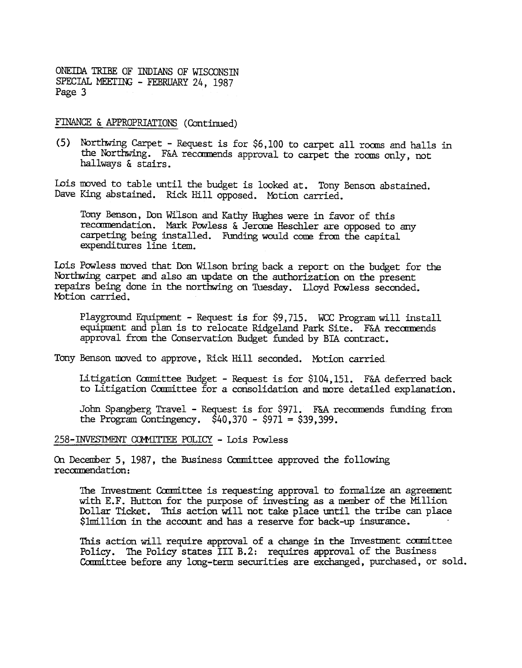ONEIDA TRIBE OF INDIANS OF WISCONSIN SPECIAL MEETING - FEBRUARY 24, 1987 Page 3

FINANCE & APPROPRIATIONS (Continued)

(5) Northwing Carpet - Request is for \$6,100 to carpet all rooms and halls in the Northwing. F&A recommends approval to carpet the rooms only, not hallways & stairs.

Lois moved to table until the budget is looked at. Tony Benson abstained. Dave King abstained. Rick Hill opposed. Motion carried.

Tony Benson, Don Wilson and Kathy Hughes were in favor of this recommendation. Mark Powless & Jerome Heschler are opposed to any carpeting being installed. Funding would come from the capital expenditures line item.

Lois Powless moved that Don Wilson bring back a report on the budget for the Northwing carpet and also an update on the authorization on the present repairs being done in the northwing on Tuesday. Lloyd Powless seconded. Motion carried.

Playground Equipment - Request is for \$9.715. WCC Program will install equipment and plan is to relocate Ridgeland Park Site. F&A recommends approval from the Conservation Budget funded by BIA contract.

Tony Benson moved to approve, Rick Hill seconded. Motion carried

Litigation Committee Budget - Request is for \$104,151. F&A deferred back to Litigation Committee for a consolidation and more detailed explanation.

John Spangberg Travel - Request is for \$971. F&A recommends funding from the Program Contingency.  $$40,370 - $971 = $39,399$ .

258-INVESTMENT COMMITTEE POLICY - Lois Powless

On December 5, 1987, the Business Committee approved the following recommendation:

The Investment Committee is requesting approval to formalize an agreement with E.F. Hutton for the purpose of investing as a member of the Million Dollar Ticket. This action will not take place until the tribe can place \$1million in the account and has a reserve for back-up insurance.

This action will require approval of a change in the Investment committee Policy. The Policy states III B.2: requires approval of the Business Committee before any long-term securities are exchanged, purchased, or sold.